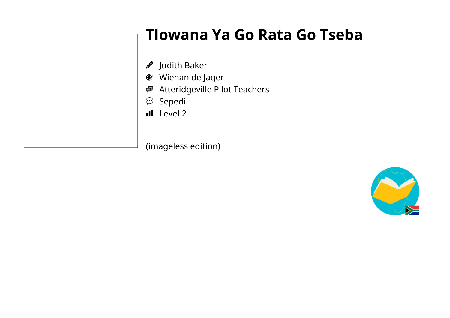## **Tlowana Ya Go Rata Go Tseba**

- $\mathscr{D}$  Judith Baker
- Wiehan de Jager
- Atteridgeville Pilot Teachers
- $\mathfrak{S}$  Sepedi
- Il Level 2

(imageless edition)

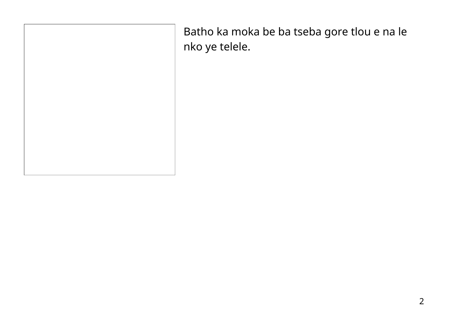| Batho ka moka be ba tseba gore tlou e na le<br>nko ye telele. |
|---------------------------------------------------------------|
|                                                               |
|                                                               |
|                                                               |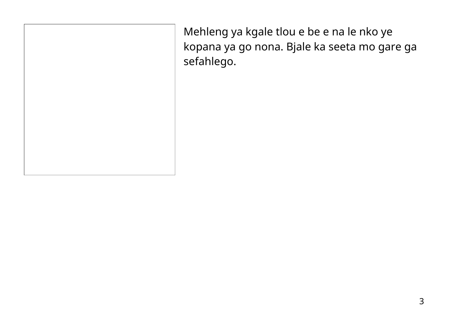Mehleng ya kgale tlou e be e na le nko ye kopana ya go nona. Bjale ka seeta mo gare ga sefahlego.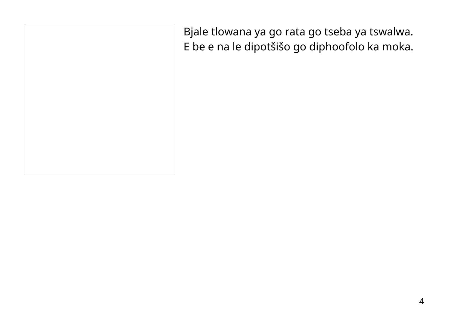Bjale tlowana ya go rata go tseba ya tswalwa. E be e na le dipotšišo go diphoofolo ka moka.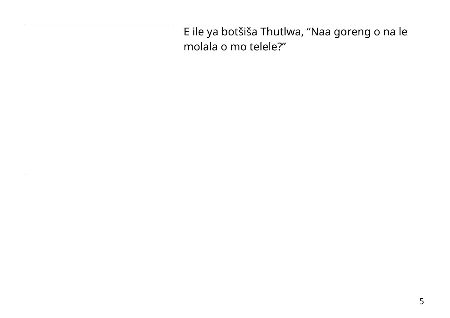| E ile ya botšiša Thutlwa, "Naa goreng o na le<br>molala o mo telele?" |
|-----------------------------------------------------------------------|
|                                                                       |
|                                                                       |
|                                                                       |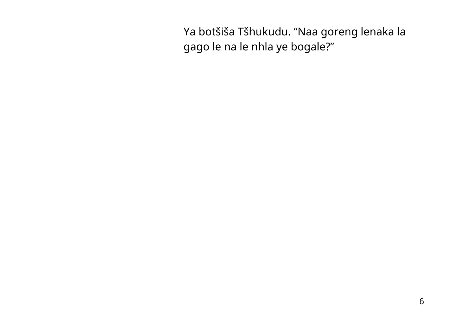Ya botšiša Tšhukudu. "Naa goreng lenaka la gago le na le nhla ye bogale?"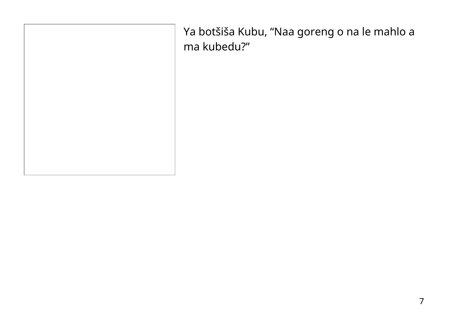Ya botšiša Kubu, "Naa goreng o na le mahlo a ma kubedu?"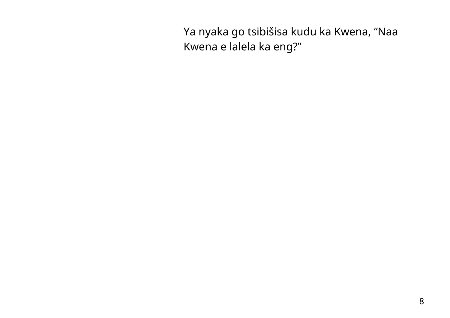Ya nyaka go tsibišisa kudu ka Kwena, "Naa Kwena e lalela ka eng?"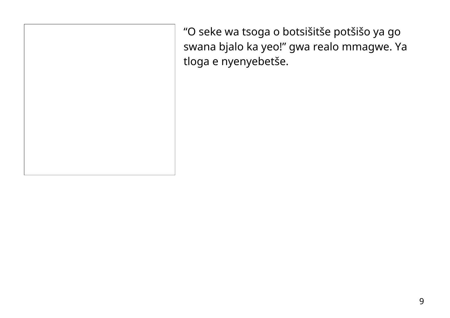"O seke wa tsoga o botsišitše potšišo ya go swana bjalo ka yeo!" gwa realo mmagwe. Ya tloga e nyenyebetše.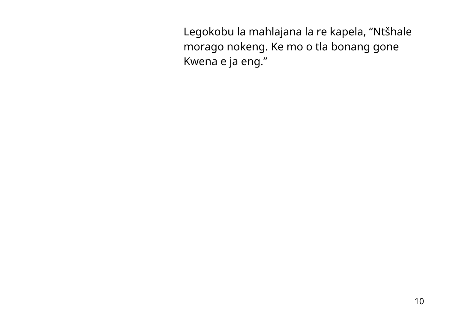Legokobu la mahlajana la re kapela, "Ntšhale morago nokeng. Ke mo o tla bonang gone Kwena e ja eng."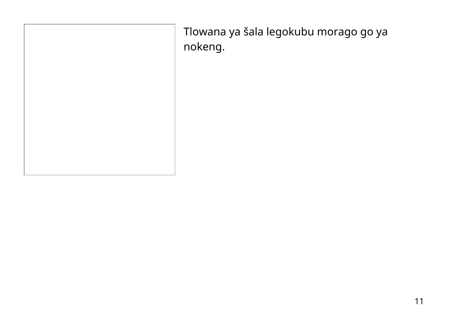| Tlowana ya šala legokubu morago go ya<br>nokeng. |
|--------------------------------------------------|
|                                                  |
|                                                  |
|                                                  |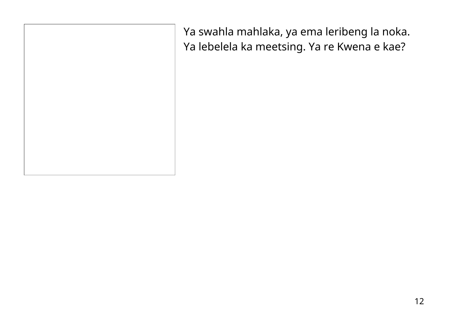Ya swahla mahlaka, ya ema leribeng la noka. Ya lebelela ka meetsing. Ya re Kwena e kae?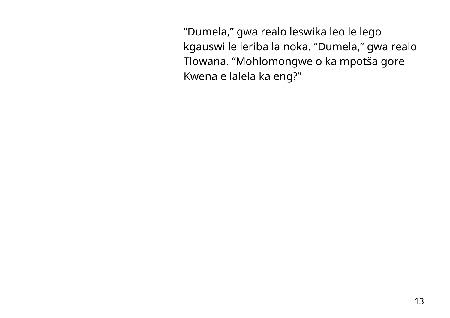"Dumela, " gwa realo leswika leo le lego kgauswi le leriba la noka. "Dumela, " gwa realo Tlowana. "Mohlomongwe o ka mpotša gore Kwena e lalela ka eng?"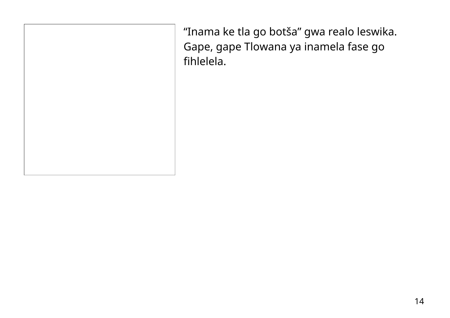"Inama ke tla go botša" gwa realo leswika. Gape, gape Tlowana ya inamela fase go fihlelela.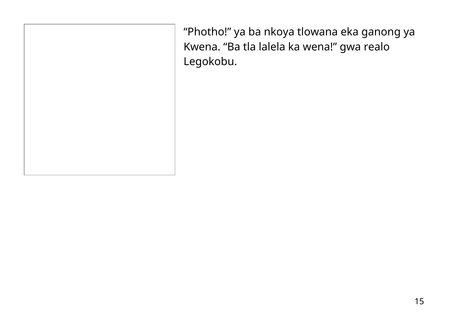"Photho!" ya ba nkoya tlowana eka ganong ya Kwena. "Ba tla lalela ka wena!" gwa realo Legokobu.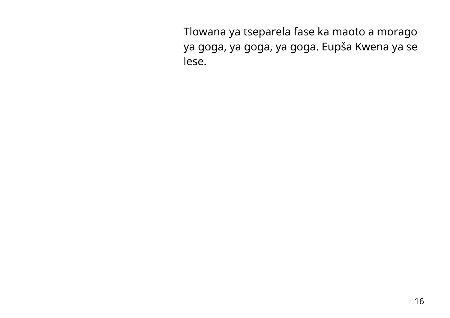Tlowana ya tseparela fase ka maoto a morago ya goga, ya goga, ya goga. Eupša Kwena ya se lese.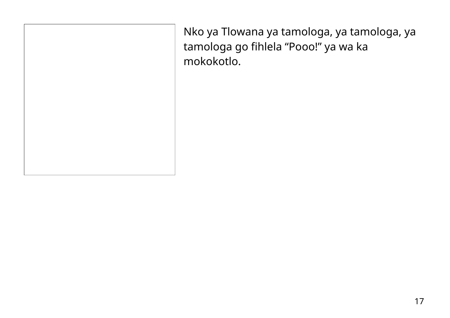Nko ya Tlowana ya tamologa, ya tamologa, ya tamologa go fihlela "Pooo!" ya wa ka mokokotlo.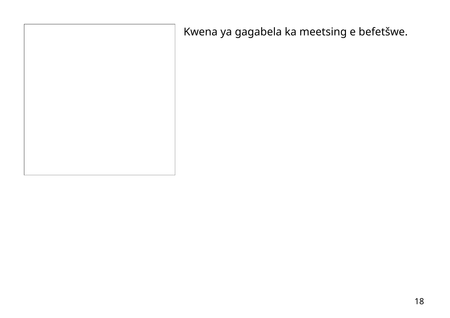Kwena ya gagabela ka meetsing e befetšwe.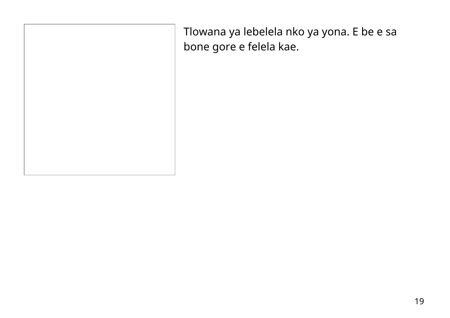Tlowana ya lebelela nko ya yona. E be e sa bone gore e felela kae.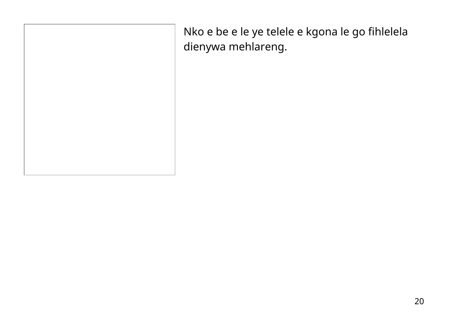Nko e be e le ye telele e kgona le go fihlelela dienywa mehlareng.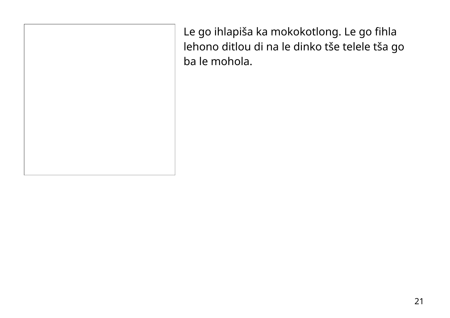Le go ihlapiša ka mokokotlong. Le go fihla lehono ditlou di na le dinko tše telele tša go ba le mohola.